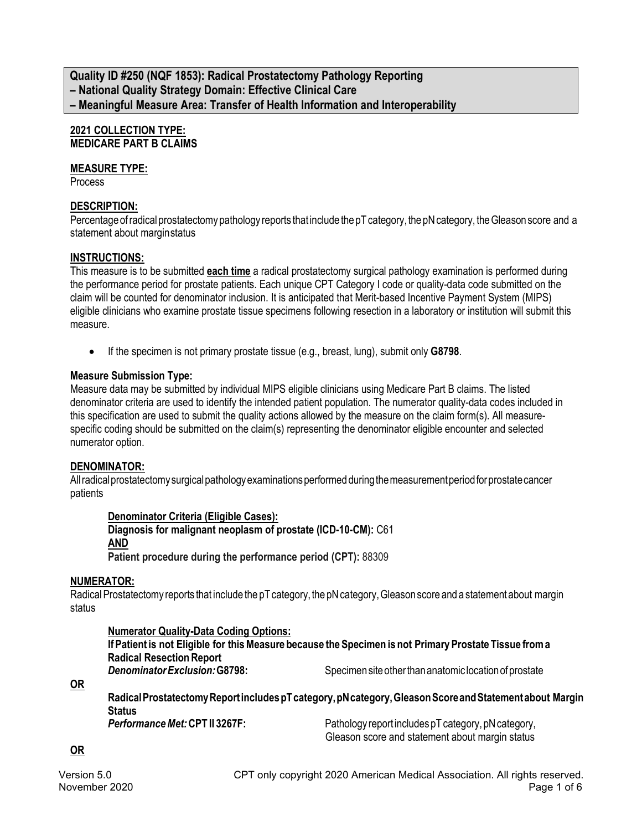**Quality ID #250 (NQF 1853): Radical Prostatectomy Pathology Reporting – National Quality Strategy Domain: Effective Clinical Care – Meaningful Measure Area: Transfer of Health Information and Interoperability**

### **2021 COLLECTION TYPE: MEDICARE PART B CLAIMS**

# **MEASURE TYPE:**

**Process** 

# **DESCRIPTION:**

Percentage of radical prostatectomy pathology reports that include the pT category, the pN category, the Gleason score and a statement about margin status

# **INSTRUCTIONS:**

This measure is to be submitted **each time** a radical prostatectomy surgical pathology examination is performed during the performance period for prostate patients. Each unique CPT Category I code or quality-data code submitted on the claim will be counted for denominator inclusion. It is anticipated that Merit-based Incentive Payment System (MIPS) eligible clinicians who examine prostate tissue specimens following resection in a laboratory or institution will submit this measure.

• If the specimen is not primary prostate tissue (e.g., breast, lung), submit only **G8798**.

# **Measure Submission Type:**

Measure data may be submitted by individual MIPS eligible clinicians using Medicare Part B claims. The listed denominator criteria are used to identify the intended patient population. The numerator quality-data codes included in this specification are used to submit the quality actions allowed by the measure on the claim form(s). All measurespecific coding should be submitted on the claim(s) representing the denominator eligible encounter and selected numerator option.

### **DENOMINATOR:**

All radical prostatectomy surgical pathology examinations performed during the measurement period for prostate cancer patients

### **Denominator Criteria (Eligible Cases):**

**Diagnosis for malignant neoplasm of prostate (ICD-10-CM):** C61 **AND Patient procedure during the performance period (CPT):** 88309

### **NUMERATOR:**

Radical Prostatectomy reports that include the pT category, the pN category, Gleason score and a statement about margin status

### **Numerator Quality-Data Coding Options:**

| If Patient is not Eligible for this Measure because the Specimen is not Primary Prostate Tissue from a |                                                        |
|--------------------------------------------------------------------------------------------------------|--------------------------------------------------------|
| <b>Radical Resection Report</b>                                                                        |                                                        |
| Denominator Exclusion: G8798:                                                                          | Specimen site other than anatomic location of prostate |

**OR**

**RadicalProstatectomyReportincludespTcategory,pNcategory,GleasonScoreandStatementabout Margin Status Performance Met: CPT II 3267F:** Pathology report includes pT category, pN category,

Gleason score and statement about margin status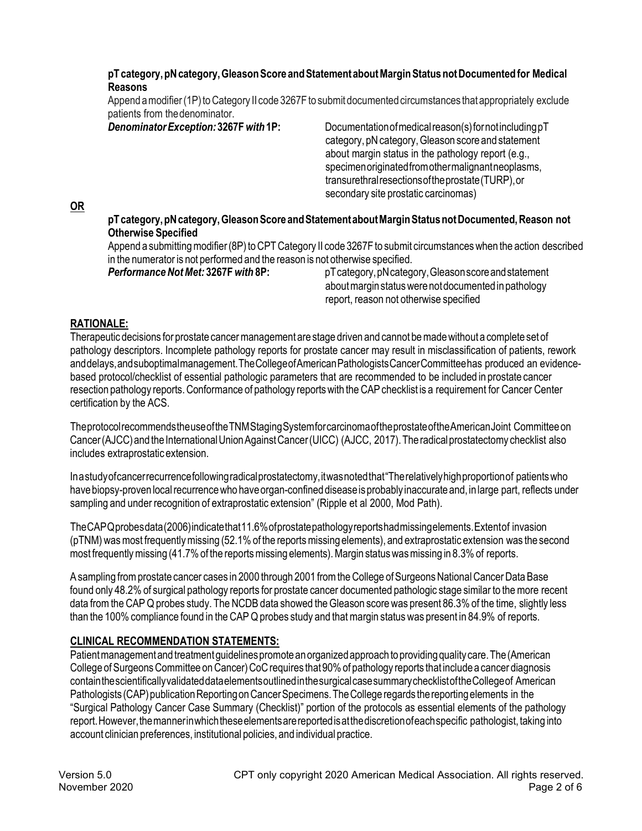### **pTcategory,pNcategory,GleasonScoreandStatementaboutMarginStatusnotDocumentedfor Medical Reasons**

Append a modifier (1P) to Category II code 3267F to submit documented circumstances that appropriately exclude patients from the denominator.<br>**Denominator Exception: 3267F with 1P:** 

 $Documentation of medical reason(s) for not including pT$ category, pN category, Gleason score and statement about margin status in the pathology report (e.g., specimenoriginatedfromothermalignantneoplasms, transurethralresectionsoftheprostate(TURP),or secondary site prostatic carcinomas)

### **OR**

**pTcategory,pNcategory,GleasonScoreandStatementaboutMarginStatusnotDocumented,Reason not Otherwise Specified**

Append a submitting modifier (8P) to CPT Category II code 3267F to submit circumstances when the action described in the numerator is not performed and the reason is not otherwise specified.

**Performance Not Met: 3267F** with 8P: pTcategory, pN category, Gleason score and statement about margin status were not documented in pathology report, reason not otherwise specified

# **RATIONALE:**

Therapeutic decisions for prostate cancermanagement are stage driven and cannot bemadewithout a complete set of pathology descriptors. Incomplete pathology reports for prostate cancer may result in misclassification of patients, rework anddelays,andsuboptimalmanagement.TheCollegeofAmericanPathologistsCancerCommitteehas produced an evidencebased protocol/checklist of essential pathologic parameters that are recommended to be included in prostate cancer resection pathology reports. Conformance of pathology reports with the CAP checklist is a requirement for Cancer Center certification by the ACS.

Theprotocolrecommends the useoftheTNMStagingSystemforcarcinomaof the prostateoftheAmericanJoint Committeeon Cancer(AJCC)and the InternationalUnionAgainstCancer(UICC) (AJCC, 2017). Theradicalprostatectomy checklist also includes extraprostatic extension.

In a studyofcancerrecurrencefollowingradicalprostatectomy,itwasnotedthat"Therelativelyhighproportionof patientswho have biopsy-proven local recurrence who have organ-confined disease is probably inaccurate and, in large part, reflects under sampling and under recognition of extraprostatic extension" (Ripple et al 2000, Mod Path).

TheCAP Q probesdata(2006)indicatethat11.6%ofprostatepathologyreportshadmissingelements.Extentof invasion (pTNM) was most frequently missing (52.1% of the reports missing elements), and extraprostatic extension was the second most frequently missing (41.7% of the reports missing elements). Margin status was missing in 8.3% of reports.

A sampling from prostate cancer cases in 2000 through 2001 from the College of Surgeons National Cancer Data Base found only 48.2% of surgical pathology reports for prostate cancer documented pathologic stage similar to the more recent data from the CAP Q probes study. The NCDB data showed the Gleason score was present 86.3% of the time, slightly less than the 100% compliance found in the CAP Q probes study and thatmargin status was present in 84.9% of reports.

# **CLINICAL RECOMMENDATION STATEMENTS:**

Patient management and treatment guidelines promote an organized approach to providing quality care. The (American College of Surgeons Committee on Cancer) CoC requires that 90% of pathology reports that include a cancer diagnosis containthescientificallyvalidateddataelementsoutlinedin the surgicalcasesummarychecklistof the Collegeof American Pathologists (CAP) publication Reporting on Cancer Specimens. The College regards the reporting elements in the "Surgical Pathology Cancer Case Summary (Checklist)" portion of the protocols as essential elements of the pathology report. However, the manner in which these elements are reported is at the discretion of each specific pathologist, taking into account clinician preferences, institutional policies, and individual practice.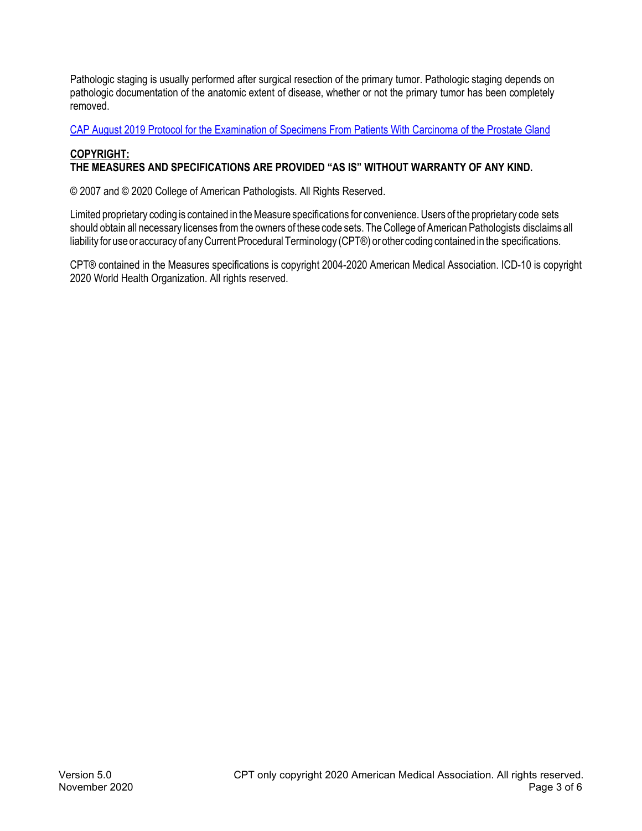Pathologic staging is usually performed after surgical resection of the primary tumor. Pathologic staging depends on pathologic documentation of the anatomic extent of disease, whether or not the primary tumor has been completely removed.

CAP August 2019 Protocol for the Examination of Specimens [From Patients With Carcinoma of the Prostate Gland](https://documents.cap.org/protocols/cp-malegenital-prostate-radicalprostatectomy-19-4041.pdf)

## **COPYRIGHT: THE MEASURES AND SPECIFICATIONS ARE PROVIDED "AS IS" WITHOUT WARRANTY OF ANY KIND.**

© 2007 and © 2020 College of American Pathologists. All Rights Reserved.

Limited proprietary coding is contained in the Measure specifications for convenience. Users of the proprietary code sets should obtain all necessary licenses from the owners of these code sets. The College of American Pathologists disclaims all liability for use or accuracy of any Current Procedural Terminology (CPT®) or other coding contained in the specifications.

CPT® contained in the Measures specifications is copyright 2004-2020 American Medical Association. ICD-10 is copyright 2020 World Health Organization. All rights reserved.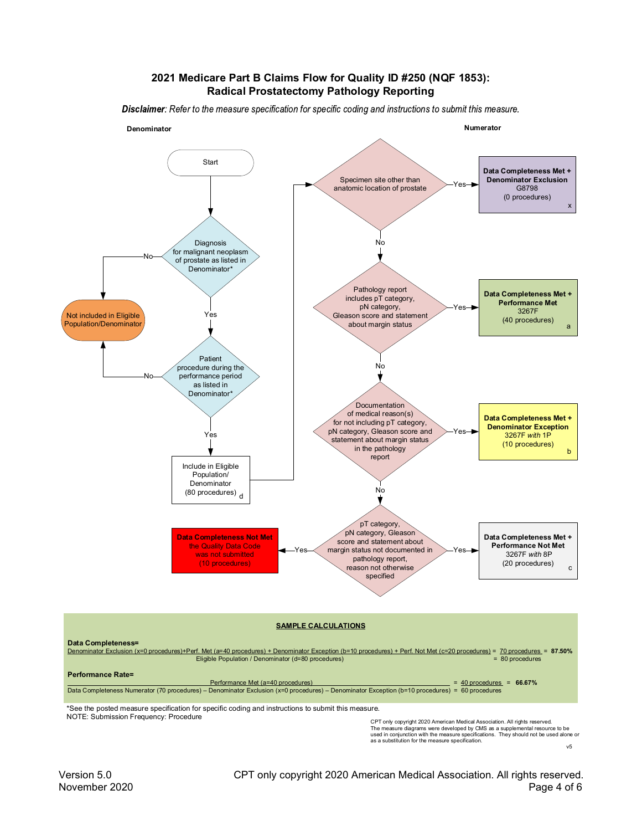#### **2021 Medicare Part B Claims Flow for Quality ID #250 (NQF 1853): Radical Prostatectomy Pathology Reporting**

Disclaimer: Refer to the measure specification for specific coding and instructions to submit this measure.



CPT only copyright 2020 American Medical Association. All rights reserved.<br>The measure diagrams were developed by CMS as a supplemental resource to be<br>used in conjunction with the measure specifications. They should not b as a substitution for the measure specification.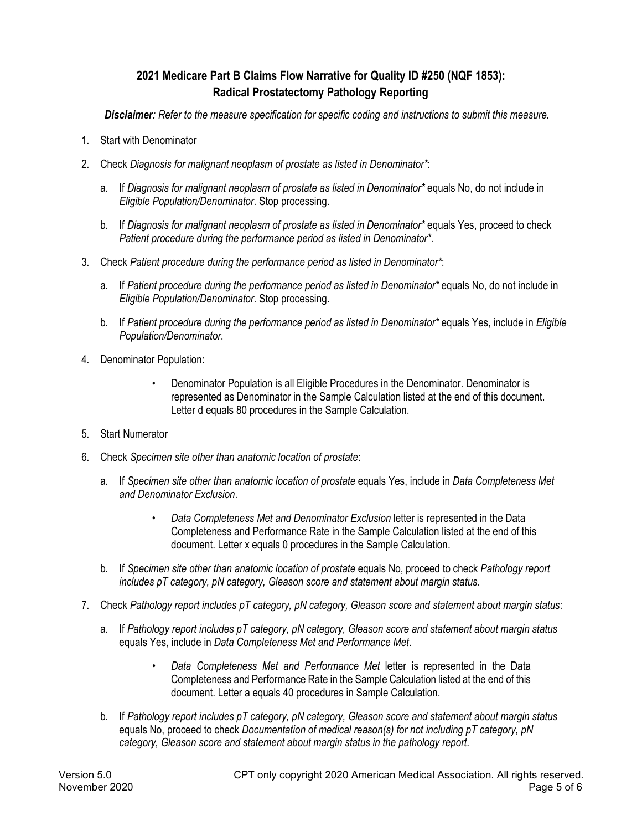# **2021 Medicare Part B Claims Flow Narrative for Quality ID #250 (NQF 1853): Radical Prostatectomy Pathology Reporting**

*Disclaimer: Refer to the measure specification for specific coding and instructions to submit this measure.*

- 1. Start with Denominator
- 2. Check *Diagnosis for malignant neoplasm of prostate as listed in Denominator\**:
	- a. If *Diagnosis for malignant neoplasm of prostate as listed in Denominator\** equals No, do not include in *Eligible Population/Denominator*. Stop processing.
	- b. If *Diagnosis for malignant neoplasm of prostate as listed in Denominator\** equals Yes, proceed to check *Patient procedure during the performance period as listed in Denominator\**.
- 3. Check *Patient procedure during the performance period as listed in Denominator\**:
	- a. If *Patient procedure during the performance period as listed in Denominator\** equals No, do not include in *Eligible Population/Denominator*. Stop processing.
	- b. If *Patient procedure during the performance period as listed in Denominator\** equals Yes, include in *Eligible Population/Denominator*.
- 4. Denominator Population:
	- Denominator Population is all Eligible Procedures in the Denominator. Denominator is represented as Denominator in the Sample Calculation listed at the end of this document. Letter d equals 80 procedures in the Sample Calculation.
- 5. Start Numerator
- 6. Check *Specimen site other than anatomic location of prostate*:
	- a. If *Specimen site other than anatomic location of prostate* equals Yes, include in *Data Completeness Met and Denominator Exclusion*.
		- *Data Completeness Met and Denominator Exclusion* letter is represented in the Data Completeness and Performance Rate in the Sample Calculation listed at the end of this document. Letter x equals 0 procedures in the Sample Calculation.
	- b. If *Specimen site other than anatomic location of prostate* equals No, proceed to check *Pathology report includes pT category, pN category, Gleason score and statement about margin status*.
- 7. Check *Pathology report includes pT category, pN category, Gleason score and statement about margin status*:
	- a. If *Pathology report includes pT category, pN category, Gleason score and statement about margin status* equals Yes, include in *Data Completeness Met and Performance Met*.
		- *Data Completeness Met and Performance Met* letter is represented in the Data Completeness and Performance Rate in the Sample Calculation listed at the end of this document. Letter a equals 40 procedures in Sample Calculation.
	- b. If *Pathology report includes pT category, pN category, Gleason score and statement about margin status* equals No, proceed to check *Documentation of medical reason(s) for not including pT category, pN category, Gleason score and statement about margin status in the pathology report*.